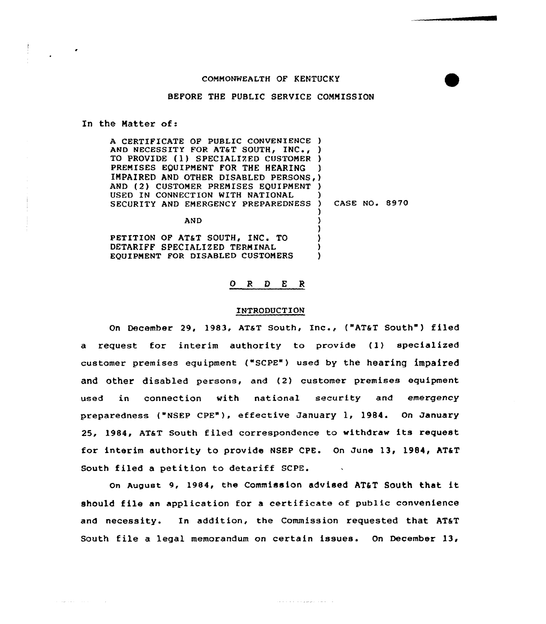## COMMONWEALTH OF KENTUCKY

## BEFORE THE PUBLIC SERVICE COMMISSION

#### In the Natter of:

 $\alpha$  , and  $\alpha$  and  $\beta$  , and  $\alpha$ 

| A CERTIFICATE OF PUBLIC CONVENIENCE )  |               |  |
|----------------------------------------|---------------|--|
| AND NECESSITY FOR AT&T SOUTH, INC.,    |               |  |
| TO PROVIDE (1) SPECIALIZED CUSTOMER    |               |  |
| PREMISES EQUIPMENT FOR THE HEARING     |               |  |
| IMPAIRED AND OTHER DISABLED PERSONS, ) |               |  |
| AND (2) CUSTOMER PREMISES EQUIPMENT    |               |  |
| USED IN CONNECTION WITH NATIONAL       |               |  |
| SECURITY AND EMERGENCY PREPAREDNESS)   | CASE NO. 8970 |  |
|                                        |               |  |
| <b>AND</b>                             |               |  |
|                                        |               |  |
| PETITION OF AT&T SOUTH, INC. TO        |               |  |

DETARIFF SPECIALIZED TERMINAL EQUIPMENT FOR DISABLED CUSTOMERS

# <sup>O</sup> R 0 E <sup>R</sup>

) )

# INTRODUCTION

On December 29, 1983, AT&T South, Inc., ("AT&T South") filed a request for interim authority to provide (1) specialized customer premises equipment ("SCPE") used by the hearing impaired and other disabled persons, and (2) customer premises equipment used in connection with national security and emergency preparedness ("NSEP CPE"), effective January 1, 1984. On January 25, 1984, AT&T South filed correspondence to withdraw its request for interim authority to provide NSEP CPE. On June 13, 1984, AT&T South filed a petition to detariff SCPE.

On August 9, 1984, the COmmiSSiOn adVieed AT&T SOuth that it should file an application for <sup>a</sup> certificate of public convenience and necessity. In addition, the Commission requested that AT&T South file a legal memorandum on certain issues. On December  $13$ ,

can a can a can a march march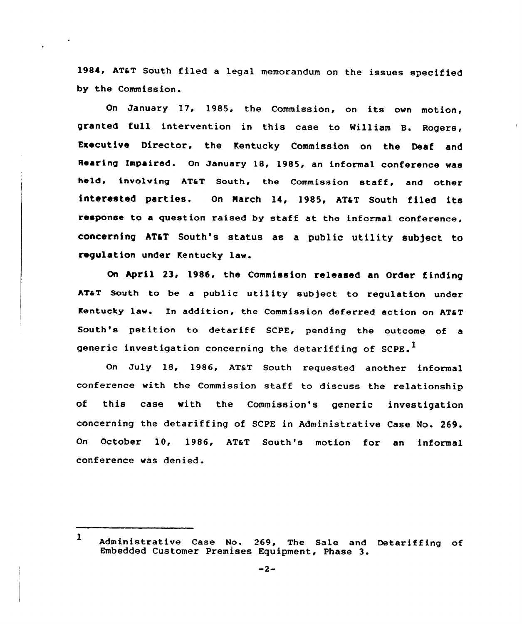1984, ATaT South filed <sup>a</sup> legal memorandum on the issues specified by the Commission.

On January 17, 1985, the Commission, on its own motion, granted full intervention in this case to William B. Rogers, Executive Director, the Kentucky Commission on the Deaf and Rearing Impaired. On January 18, 1985, an informal conference was held, involving ATaT South, the Commission staff, and other interested parties. On March 14, 1985, AT&T South filed its response to a question raised by staff at the informal conference, concerning AT&T South's status as a public utility subject to regulation under Kentucky law.

On April 23, 1986, the Commission released an Order finding AT&T South to be a public utility subject to regulation under Kentucky law. In addition, the Commission deferred action on AT&T South's petition to detariff SCPE, pending the outcome of <sup>a</sup> generic investigation concerning the detariffing of  $SCPE.$ <sup>I</sup>

On July 18, 1986, AT&T South requested another informal conference with the Commission staff to discuss the relationship of this case with the Commission's generic investigation concerning the detariffing of SCPE in Administrative Case No. 269. On October 10, 1986, AT&T South's motion for an informal conference was denied.

<sup>1</sup> Administrative Case No. 269, The Sale and Detariffing of Embedded Customer Premises Equipment, Phase 3.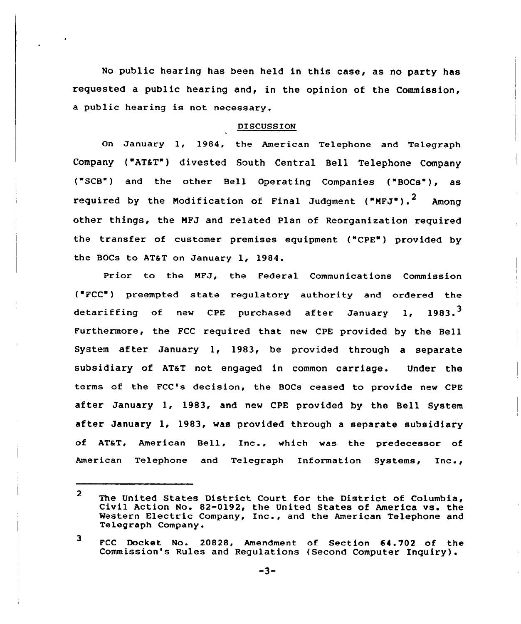No public hearing has been held in this case, as no party has requested a public hearing and, in the opinion of the Commission, a public hearing is not necessary.

## DISCUSSION

On January l, 1984, the American Telephone and Telegraph Company ("AT&T") divested South Central Bell Telephone Company ("SCB") and the other Bell Operating Companies ("BOCs"), as required by the Modification of Final Judgment ("MFJ").<sup>2</sup> Among other things, the MFJ and related Plan of Reorganization required the transfer of customer premises equipment ("CPE") provided by the BOCs to AT&T on January 1, 1984.

Prior to the MFJ, the Federal Communications Commission (~FCC") preempted state regulatory authority and ordered the detariffing of new CPE purchased after January 1, 1983.<sup>3</sup> Furthermore, the FCC required that new CPE provided by the Bell System after January 1, 1983, be provided through <sup>a</sup> separate subsidiary of AT&T not engaged in common carriage. Under the terms of the FCC's decision, the BOCs ceased to provide new CPE after January 1, 1983, and new CPE provided by the Bell System after January 1, 1983, was provided through <sup>a</sup> separate subsidiary of AT&T, American Bell, Inc., which was the predecessor of American Telephone and Telegraph Information Systems, Inc.,

 $\mathbf{2}$ The United States District Court for the District of Columbia, Civil Action No. 82-0192, the United States of America vs. the Western Electric Company, Inc., and the American Telephone and Telegraph Company.

<sup>3</sup> FCC Docket No. 20828, Amendment of Section 64. 702 of the Commission's Rules and Regulations (Second Computer Inquiry).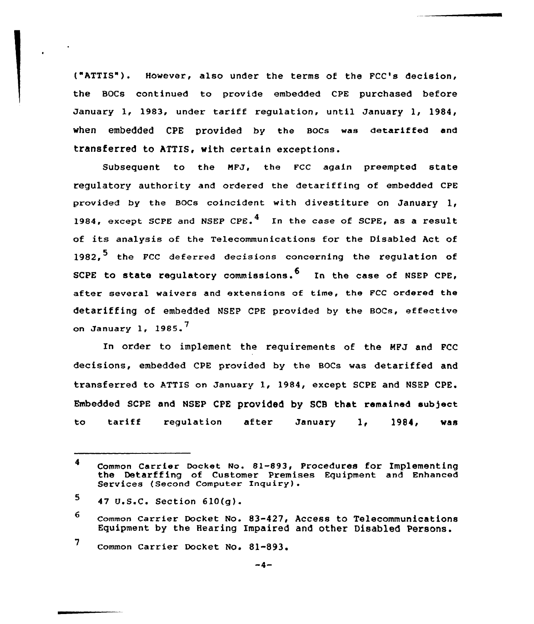("ATTIS"). However, also under the terms of the FCC's decision, the BOCs continued to provide embedded CPE purchased before January 1, 1983, under tariff regulation, until January 1, 1984, when embedded CPE provided by the BOCs was detariffed and transferred to ATTIS, with certain exceptions.

Subsequent to the NFJ, the FCC again preempted state regulatory authority and ordered the detariffing of embedded CPE provided by the Bocs coincident with divestiture on January 1, 1984, except SCPE and NSEP CPE.<sup>4</sup> In the case of SCPE, as a result of its analysis af the Telecommunications for the Disabled Act of 1982.<sup>5</sup> the FCC deferred decisions concerning the regulation of SCPE to state requlatory commissions.<sup>6</sup> In the case of NSEP CPE, after several waivers and extensions of time, the FCC ordered the detariffing of embedded MGEp cpE pxovided by the Bocs, effective on January 1, 1985. $<sup>7</sup>$ </sup>

In order to implement the requixements of the MFJ and FCC decisions, embedded CPE provided by the BOCs was detariffed and transferred to ATTIS on January 1, 1984, except SCPE and NSEP CPE. Embedded SCPE and NSEP CPK provided by SCB that remained subject to tariff regulation after January 1, 1984, was

7 common carrier Docket No. 81-893.

<sup>4</sup> Common Carrier Dacket No. 81-893, Procedures for Implementing the Detarffing af customer Premises Equipment and Enhanced Services (Second Computer Inquiry).

<sup>5</sup> 47 U.S.C. Section 610(g).

<sup>6</sup> common carrier Docket No. 83-427, Access to Telecommunications Equipment by the Hearing Impaired and other Disabled Persons.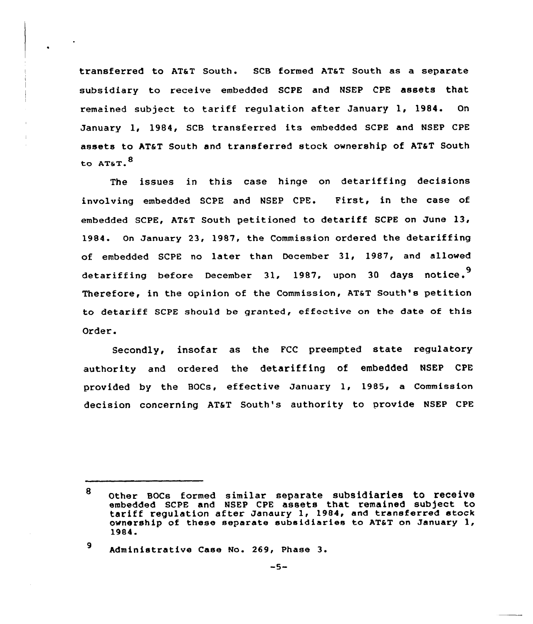transferred to AT&T South. SCB formed AT&T South as a separate subsidiary to receive embedded SCPE and NSEP CPE assets that remained subject to tariff regulation after January 1, 1984. On January 1, 1984, SCB transferred its embedded SCPE and NSEP CPE assets to AT&T South and transferred stock ownership of AT&T South to AT&T.<sup>8</sup>

The issues in this case hinge on detariffing decisions involving embedded SCPE and NSEP CPE. First, in the case of embedded SCPE, AT&T South petitioned to detariff SCPE on June  $13$ , 1984. On January 23, 1987, the Commission ordered the detariffing of embedded SCPE no later than December 31, 1987, and allowed detariffing before December 31, 1987, upon 30 days notice.<sup>9</sup> Therefore, in the opinion of the Commission, AT&T South's petition to detariff SCPE should be granted, effective on the date of this Order.

Secondly, insofar as the FCC preempted state regulatory authority and ordered the detariffing of embedded NSEP CPE provided by the BOCs, effective January 1, 1985, a Commission decision concerning AT&T South's authority to provide NSEP CPE

<sup>9</sup> Administrative Case No. 269, Phase 3.

<sup>8</sup> Other BOCs formed similar separate subsidiaries to receive embedded SCPE and NSEP CPE assets that remained subject to tax'iff regulation after Janaury 1, 1984, and transfexred stock ownership of these separate subsidiaries to AT&T on January 1, 1984.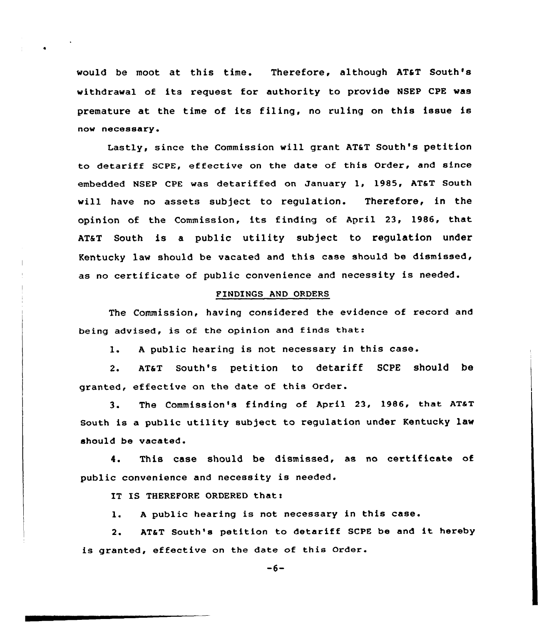would be moot at this time. Therefore, although AT&T South's withdrawal of its request for authority to provide NSEP CPE was premature at the time of its filing, no ruling on this issue is now necessary.

Lastly, since the Commission will grant AT&T South's petition to detariff SCPE, effective on the date of this Order, and since embedded NSEP CPE was detariffed on January 1, 1985, AT&T South will have no assets subject to regulation. Therefore, in the opinion of the Commission, its finding of April 23, 1986, that ATaT South is a public utility subject to regulation under Kentucky law should be vacated and this case should be dismissed, as no certificate of public convenience and necessity is needed.

### FINDINGS AND ORDERS

The Commission, having considered the evidence of record and being advised, is of the opinion and finds that:

1. <sup>A</sup> public hearing is not necessary in this case.

2. AT&T South's petition to detariff SCPE should be granted, effective on the date of this Order.

3. The Commission's finding of April 23, 1986, that AT&T South is a public utility sub)ect to regulation under Kentucky law should be vacated.

4. This case should be dismissed, as no certificate of public convenience and necessity is needed.

IT IS THEREFORE ORDERED that:

l. <sup>A</sup> public hearing is not necessary in this case.

2. AT&T South's petition to detariff SCPE be and it hereby is granted, effective on the date of this Order.

 $-6-$